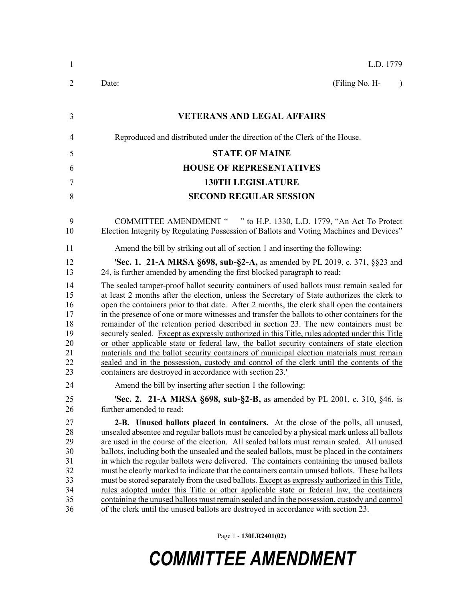| 1                                                        | L.D. 1779                                                                                                                                                                                                                                                                                                                                                                                                                                                                                                                                                                                                                                                                                                                                                                                                                                                                                                                                                     |
|----------------------------------------------------------|---------------------------------------------------------------------------------------------------------------------------------------------------------------------------------------------------------------------------------------------------------------------------------------------------------------------------------------------------------------------------------------------------------------------------------------------------------------------------------------------------------------------------------------------------------------------------------------------------------------------------------------------------------------------------------------------------------------------------------------------------------------------------------------------------------------------------------------------------------------------------------------------------------------------------------------------------------------|
| $\overline{2}$                                           | (Filing No. H-<br>Date:<br>$\lambda$                                                                                                                                                                                                                                                                                                                                                                                                                                                                                                                                                                                                                                                                                                                                                                                                                                                                                                                          |
|                                                          |                                                                                                                                                                                                                                                                                                                                                                                                                                                                                                                                                                                                                                                                                                                                                                                                                                                                                                                                                               |
| 3                                                        | <b>VETERANS AND LEGAL AFFAIRS</b>                                                                                                                                                                                                                                                                                                                                                                                                                                                                                                                                                                                                                                                                                                                                                                                                                                                                                                                             |
| 4                                                        | Reproduced and distributed under the direction of the Clerk of the House.                                                                                                                                                                                                                                                                                                                                                                                                                                                                                                                                                                                                                                                                                                                                                                                                                                                                                     |
| 5                                                        | <b>STATE OF MAINE</b>                                                                                                                                                                                                                                                                                                                                                                                                                                                                                                                                                                                                                                                                                                                                                                                                                                                                                                                                         |
| 6                                                        | <b>HOUSE OF REPRESENTATIVES</b>                                                                                                                                                                                                                                                                                                                                                                                                                                                                                                                                                                                                                                                                                                                                                                                                                                                                                                                               |
| $\tau$                                                   | <b>130TH LEGISLATURE</b>                                                                                                                                                                                                                                                                                                                                                                                                                                                                                                                                                                                                                                                                                                                                                                                                                                                                                                                                      |
| 8                                                        | <b>SECOND REGULAR SESSION</b>                                                                                                                                                                                                                                                                                                                                                                                                                                                                                                                                                                                                                                                                                                                                                                                                                                                                                                                                 |
| 9<br>10                                                  | COMMITTEE AMENDMENT " " to H.P. 1330, L.D. 1779, "An Act To Protect<br>Election Integrity by Regulating Possession of Ballots and Voting Machines and Devices"                                                                                                                                                                                                                                                                                                                                                                                                                                                                                                                                                                                                                                                                                                                                                                                                |
| 11                                                       | Amend the bill by striking out all of section 1 and inserting the following:                                                                                                                                                                                                                                                                                                                                                                                                                                                                                                                                                                                                                                                                                                                                                                                                                                                                                  |
| 12<br>13                                                 | <b>Sec. 1. 21-A MRSA §698, sub-§2-A, as amended by PL 2019, c. 371, §§23 and</b><br>24, is further amended by amending the first blocked paragraph to read:                                                                                                                                                                                                                                                                                                                                                                                                                                                                                                                                                                                                                                                                                                                                                                                                   |
| 14<br>15<br>16<br>17<br>18<br>19<br>20<br>21<br>22<br>23 | The sealed tamper-proof ballot security containers of used ballots must remain sealed for<br>at least 2 months after the election, unless the Secretary of State authorizes the clerk to<br>open the containers prior to that date. After 2 months, the clerk shall open the containers<br>in the presence of one or more witnesses and transfer the ballots to other containers for the<br>remainder of the retention period described in section 23. The new containers must be<br>securely sealed. Except as expressly authorized in this Title, rules adopted under this Title<br>or other applicable state or federal law, the ballot security containers of state election<br>materials and the ballot security containers of municipal election materials must remain<br>sealed and in the possession, custody and control of the clerk until the contents of the<br>containers are destroyed in accordance with section 23.                           |
| 24                                                       | Amend the bill by inserting after section 1 the following:                                                                                                                                                                                                                                                                                                                                                                                                                                                                                                                                                                                                                                                                                                                                                                                                                                                                                                    |
| 25<br>26                                                 | 'Sec. 2. 21-A MRSA §698, sub-§2-B, as amended by PL 2001, c. 310, §46, is<br>further amended to read:                                                                                                                                                                                                                                                                                                                                                                                                                                                                                                                                                                                                                                                                                                                                                                                                                                                         |
| 27<br>28<br>29<br>30<br>31<br>32<br>33<br>34<br>35<br>36 | 2-B. Unused ballots placed in containers. At the close of the polls, all unused,<br>unsealed absentee and regular ballots must be canceled by a physical mark unless all ballots<br>are used in the course of the election. All sealed ballots must remain sealed. All unused<br>ballots, including both the unsealed and the sealed ballots, must be placed in the containers<br>in which the regular ballots were delivered. The containers containing the unused ballots<br>must be clearly marked to indicate that the containers contain unused ballots. These ballots<br>must be stored separately from the used ballots. Except as expressly authorized in this Title,<br>rules adopted under this Title or other applicable state or federal law, the containers<br>containing the unused ballots must remain sealed and in the possession, custody and control<br>of the clerk until the unused ballots are destroyed in accordance with section 23. |

Page 1 - **130LR2401(02)**

## *COMMITTEE AMENDMENT*